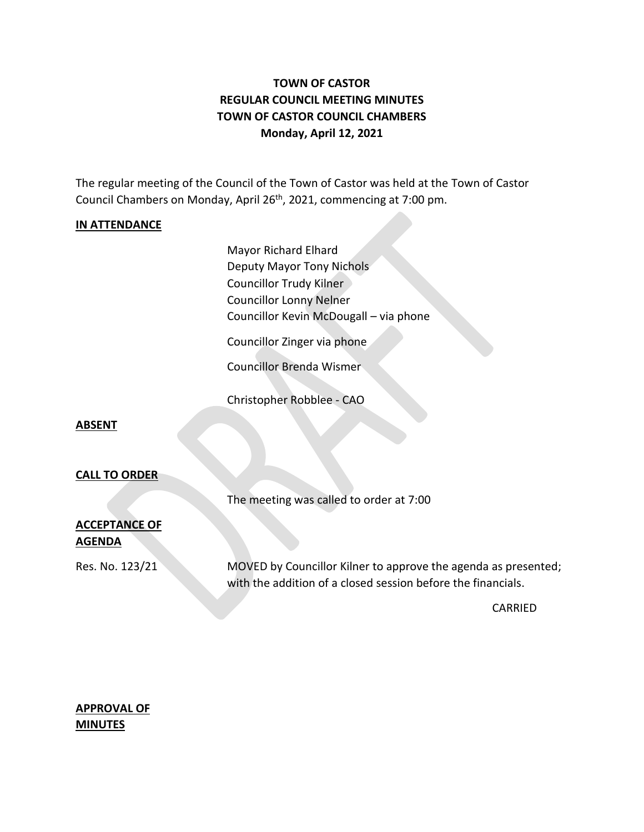# **TOWN OF CASTOR REGULAR COUNCIL MEETING MINUTES TOWN OF CASTOR COUNCIL CHAMBERS Monday, April 12, 2021**

The regular meeting of the Council of the Town of Castor was held at the Town of Castor Council Chambers on Monday, April 26<sup>th</sup>, 2021, commencing at 7:00 pm.

#### **IN ATTENDANCE**

Mayor Richard Elhard Deputy Mayor Tony Nichols Councillor Trudy Kilner Councillor Lonny Nelner Councillor Kevin McDougall – via phone

Councillor Zinger via phone

Councillor Brenda Wismer

Christopher Robblee - CAO

#### **ABSENT**

#### **CALL TO ORDER**

The meeting was called to order at 7:00

## **ACCEPTANCE OF AGENDA**

Res. No. 123/21 MOVED by Councillor Kilner to approve the agenda as presented; with the addition of a closed session before the financials.

CARRIED

## **APPROVAL OF MINUTES**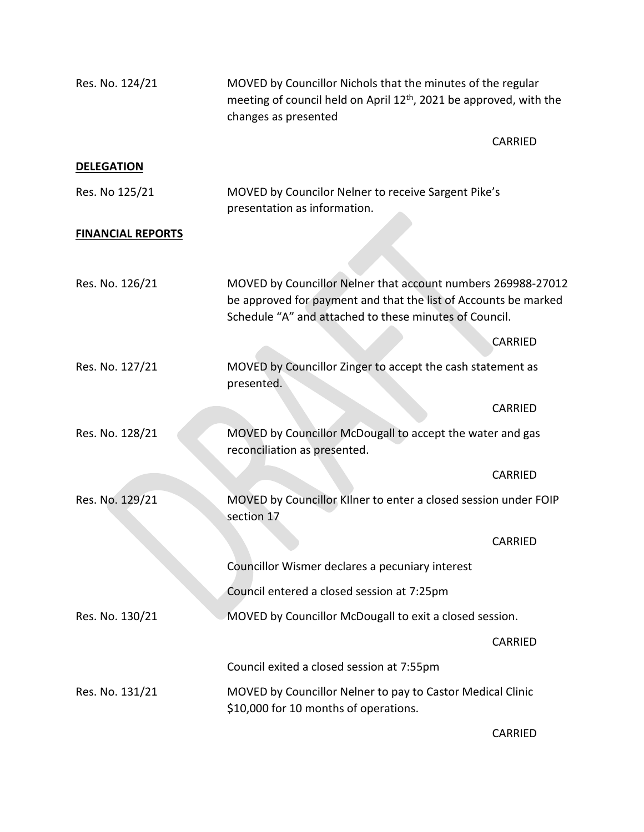| Res. No. 124/21          | MOVED by Councillor Nichols that the minutes of the regular<br>meeting of council held on April 12 <sup>th</sup> , 2021 be approved, with the<br>changes as presented                     |                |
|--------------------------|-------------------------------------------------------------------------------------------------------------------------------------------------------------------------------------------|----------------|
|                          |                                                                                                                                                                                           | <b>CARRIED</b> |
| <b>DELEGATION</b>        |                                                                                                                                                                                           |                |
| Res. No 125/21           | MOVED by Councilor Nelner to receive Sargent Pike's<br>presentation as information.                                                                                                       |                |
| <b>FINANCIAL REPORTS</b> |                                                                                                                                                                                           |                |
|                          |                                                                                                                                                                                           |                |
| Res. No. 126/21          | MOVED by Councillor Nelner that account numbers 269988-27012<br>be approved for payment and that the list of Accounts be marked<br>Schedule "A" and attached to these minutes of Council. |                |
|                          |                                                                                                                                                                                           | CARRIED        |
| Res. No. 127/21          | MOVED by Councillor Zinger to accept the cash statement as<br>presented.                                                                                                                  |                |
|                          |                                                                                                                                                                                           | CARRIED        |
| Res. No. 128/21          | MOVED by Councillor McDougall to accept the water and gas<br>reconciliation as presented.                                                                                                 |                |
|                          |                                                                                                                                                                                           | CARRIED        |
| Res. No. 129/21          | MOVED by Councillor Kilner to enter a closed session under FOIP<br>section 17                                                                                                             |                |
|                          |                                                                                                                                                                                           | CARRIED        |
|                          | Councillor Wismer declares a pecuniary interest                                                                                                                                           |                |
|                          | Council entered a closed session at 7:25pm                                                                                                                                                |                |
| Res. No. 130/21          | MOVED by Councillor McDougall to exit a closed session.                                                                                                                                   |                |
|                          |                                                                                                                                                                                           | <b>CARRIED</b> |
|                          | Council exited a closed session at 7:55pm                                                                                                                                                 |                |
| Res. No. 131/21          | MOVED by Councillor Nelner to pay to Castor Medical Clinic<br>\$10,000 for 10 months of operations.                                                                                       |                |

CARRIED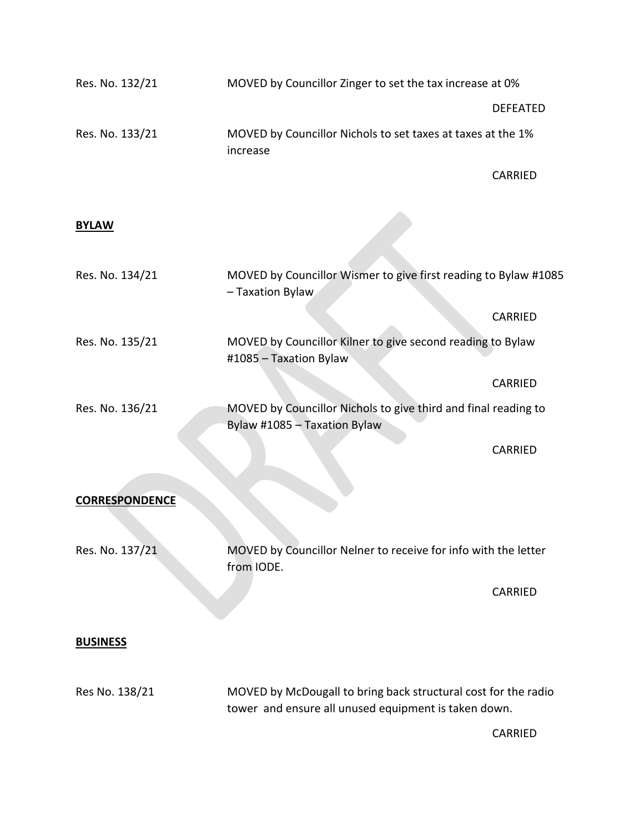| Res. No. 132/21       | MOVED by Councillor Zinger to set the tax increase at 0%                                                               |                 |  |
|-----------------------|------------------------------------------------------------------------------------------------------------------------|-----------------|--|
|                       |                                                                                                                        | <b>DEFEATED</b> |  |
| Res. No. 133/21       | MOVED by Councillor Nichols to set taxes at taxes at the 1%<br>increase                                                |                 |  |
|                       |                                                                                                                        | CARRIED         |  |
| <b>BYLAW</b>          |                                                                                                                        |                 |  |
| Res. No. 134/21       | MOVED by Councillor Wismer to give first reading to Bylaw #1085<br>- Taxation Bylaw                                    |                 |  |
|                       |                                                                                                                        | CARRIED         |  |
| Res. No. 135/21       | MOVED by Councillor Kilner to give second reading to Bylaw<br>#1085 - Taxation Bylaw                                   |                 |  |
|                       |                                                                                                                        | CARRIED         |  |
| Res. No. 136/21       | MOVED by Councillor Nichols to give third and final reading to<br>Bylaw #1085 - Taxation Bylaw                         |                 |  |
|                       |                                                                                                                        | CARRIED         |  |
| <b>CORRESPONDENCE</b> |                                                                                                                        |                 |  |
| Res. No. 137/21       | MOVED by Councillor Nelner to receive for info with the letter<br>from IODE.                                           |                 |  |
|                       |                                                                                                                        | CARRIED         |  |
| <b>BUSINESS</b>       |                                                                                                                        |                 |  |
| Res No. 138/21        | MOVED by McDougall to bring back structural cost for the radio<br>tower and ensure all unused equipment is taken down. |                 |  |
|                       |                                                                                                                        | CARRIED         |  |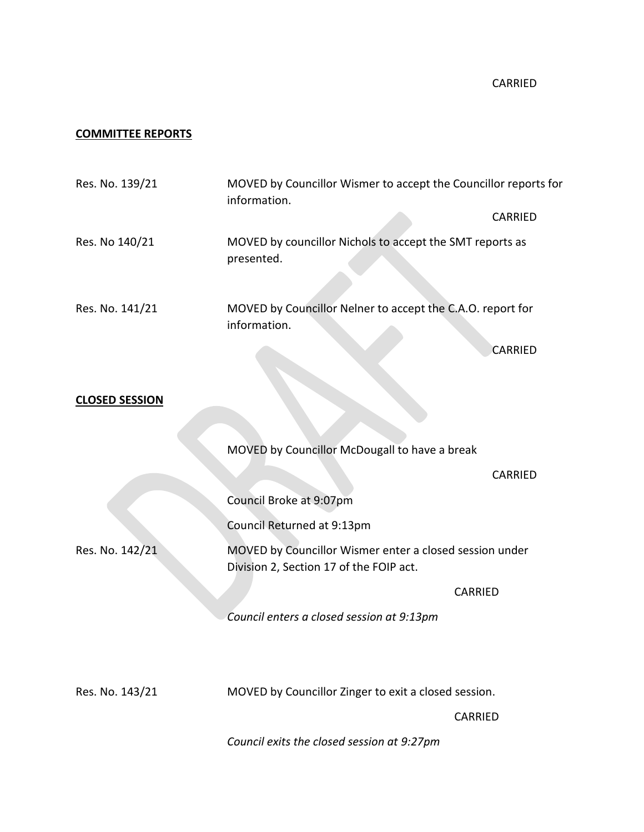## **COMMITTEE REPORTS**

| Res. No. 139/21       | MOVED by Councillor Wismer to accept the Councillor reports for<br>information.                    |
|-----------------------|----------------------------------------------------------------------------------------------------|
|                       | CARRIED                                                                                            |
| Res. No 140/21        | MOVED by councillor Nichols to accept the SMT reports as<br>presented.                             |
| Res. No. 141/21       | MOVED by Councillor Nelner to accept the C.A.O. report for<br>information.                         |
|                       | <b>CARRIED</b>                                                                                     |
| <b>CLOSED SESSION</b> |                                                                                                    |
|                       | MOVED by Councillor McDougall to have a break                                                      |
|                       | CARRIED                                                                                            |
|                       | Council Broke at 9:07pm                                                                            |
|                       | Council Returned at 9:13pm                                                                         |
| Res. No. 142/21       | MOVED by Councillor Wismer enter a closed session under<br>Division 2, Section 17 of the FOIP act. |
|                       | CARRIED                                                                                            |
|                       | Council enters a closed session at 9:13pm                                                          |
|                       |                                                                                                    |
| Res. No. 143/21       | MOVED by Councillor Zinger to exit a closed session.                                               |
|                       | <b>CARRIED</b>                                                                                     |
|                       | Council exits the closed session at 9:27pm                                                         |